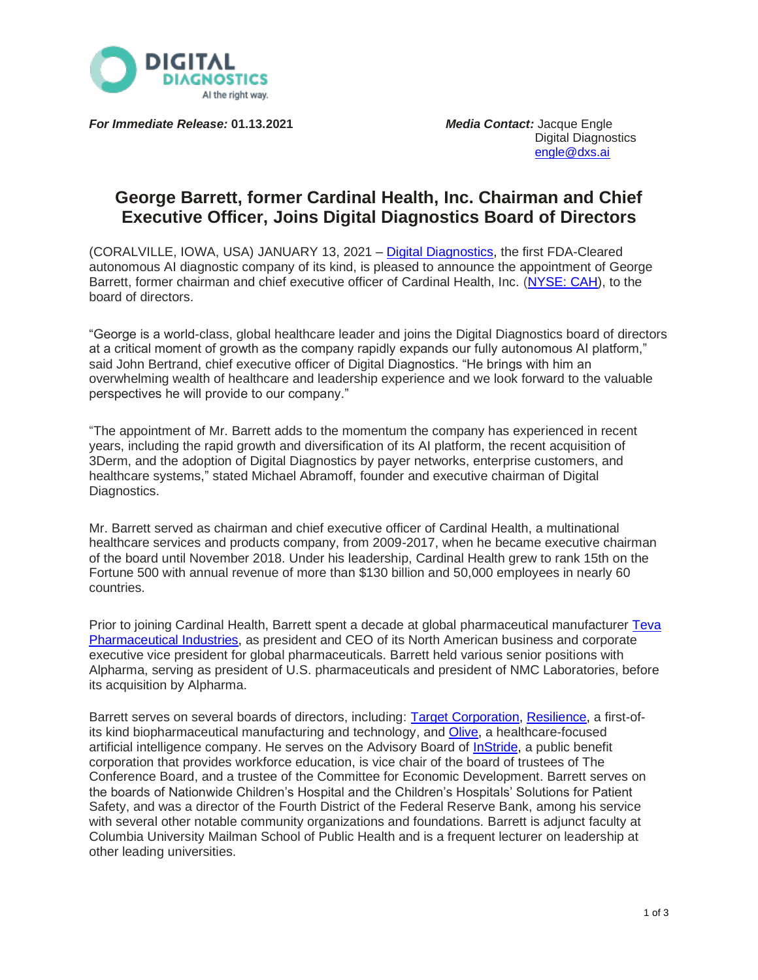

*For Immediate Release:* **01.13.2021** *Media Contact:* Jacque Engle

Digital Diagnostics [engle@dxs.ai](mailto:engle@dxs.ai)

# **George Barrett, former Cardinal Health, Inc. Chairman and Chief Executive Officer, Joins Digital Diagnostics Board of Directors**

(CORALVILLE, IOWA, USA) JANUARY 13, 2021 – Digital [Diagnostics,](http://www.dxs.ai/) the first FDA-Cleared autonomous AI diagnostic company of its kind, is pleased to announce the appointment of George Barrett, former chairman and chief executive officer of Cardinal Health, Inc. [\(NYSE:](https://www.cardinalhealth.com/en.html) CAH), to the board of directors.

"George is a world-class, global healthcare leader and joins the Digital Diagnostics board of directors at a critical moment of growth as the company rapidly expands our fully autonomous AI platform," said John Bertrand, chief executive officer of Digital Diagnostics. "He brings with him an overwhelming wealth of healthcare and leadership experience and we look forward to the valuable perspectives he will provide to our company."

"The appointment of Mr. Barrett adds to the momentum the company has experienced in recent years, including the rapid growth and diversification of its AI platform, the recent acquisition of 3Derm, and the adoption of Digital Diagnostics by payer networks, enterprise customers, and healthcare systems," stated Michael Abramoff, founder and executive chairman of Digital Diagnostics.

Mr. Barrett served as chairman and chief executive officer of Cardinal Health, a multinational healthcare services and products company, from 2009-2017, when he became executive chairman of the board until November 2018. Under his leadership, Cardinal Health grew to rank 15th on the Fortune 500 with annual revenue of more than \$130 billion and 50,000 employees in nearly 60 countries.

Prior to joining Cardinal Health, Barrett spent a decade at global pharmaceutical manufacturer [Teva](https://www.tevapharm.com/) [Pharmaceutical](https://www.tevapharm.com/) Industries, as president and CEO of its North American business and corporate executive vice president for global pharmaceuticals. Barrett held various senior positions with Alpharma, serving as president of U.S. pharmaceuticals and president of NMC Laboratories, before its acquisition by Alpharma.

Barrett serves on several boards of directors, including: Target [Corporation,](https://investors.target.com/corporate-governance/board-of-directors) [Resilience,](https://resilience.com/) a first-of-its kind biopharmaceutical manufacturing and technology, and [Olive,](https://oliveai.com/) a healthcare-focused artificial intelligence company. He serves on the Advisory Board of [InStride,](https://www.instride.com/leadership/) a public benefit corporation that provides workforce education, is vice chair of the board of trustees of The Conference Board, and a trustee of the Committee for Economic Development. Barrett serves on the boards of Nationwide Children's Hospital and the Children's Hospitals' Solutions for Patient Safety, and was a director of the Fourth District of the Federal Reserve Bank, among his service with several other notable community organizations and foundations. Barrett is adjunct faculty at Columbia University Mailman School of Public Health and is a frequent lecturer on leadership at other leading universities.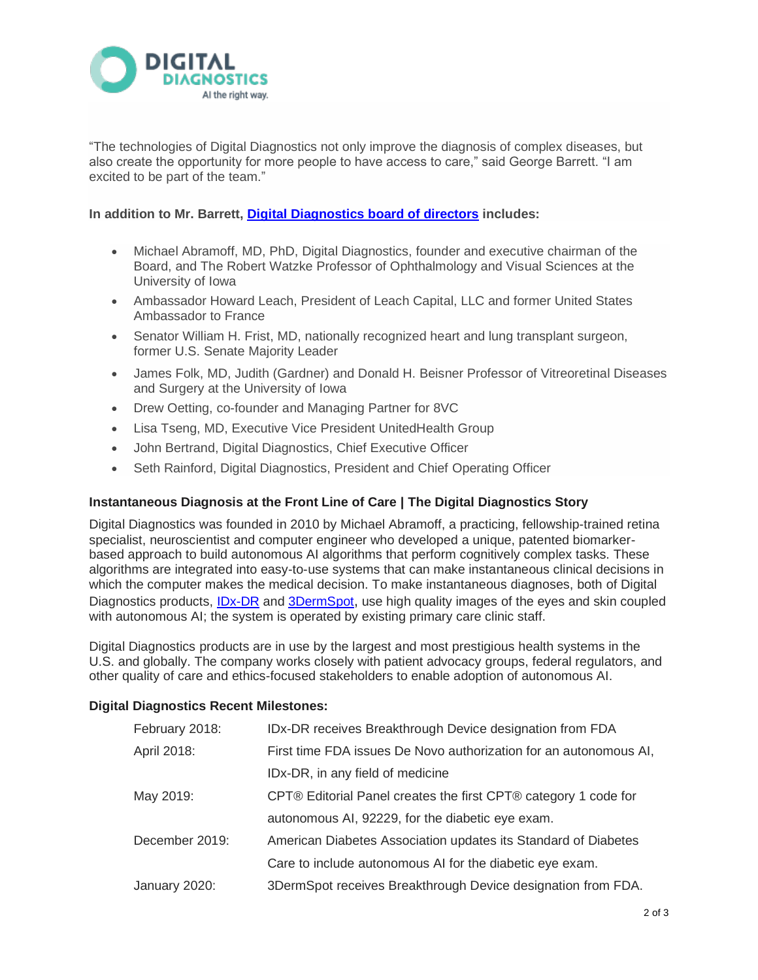

"The technologies of Digital Diagnostics not only improve the diagnosis of complex diseases, but also create the opportunity for more people to have access to care," said George Barrett. "I am excited to be part of the team."

## **In addition to Mr. Barrett, [Digital Diagnostics](https://dxs.ai/about/leadership/) board of directors includes:**

- Michael Abramoff, MD, PhD, Digital Diagnostics, founder and executive chairman of the Board, and The Robert Watzke Professor of Ophthalmology and Visual Sciences at the University of Iowa
- Ambassador Howard Leach, President of Leach Capital, LLC and former United States Ambassador to France
- Senator William H. Frist, MD, nationally recognized heart and lung transplant surgeon, former U.S. Senate Majority Leader
- James Folk, MD, Judith (Gardner) and Donald H. Beisner Professor of Vitreoretinal Diseases and Surgery at the University of Iowa
- Drew Oetting, co-founder and Managing Partner for 8VC
- Lisa Tseng, MD, Executive Vice President UnitedHealth Group
- John Bertrand, Digital Diagnostics, Chief Executive Officer
- Seth Rainford, Digital Diagnostics, President and Chief Operating Officer

## **Instantaneous Diagnosis at the Front Line of Care | The Digital Diagnostics Story**

Digital Diagnostics was founded in 2010 by Michael Abramoff, a practicing, fellowship-trained retina specialist, neuroscientist and computer engineer who developed a unique, patented biomarkerbased approach to build autonomous AI algorithms that perform cognitively complex tasks. These algorithms are integrated into easy-to-use systems that can make instantaneous clinical decisions in which the computer makes the medical decision. To make instantaneous diagnoses, both of Digital Diagnostics products, [IDx-DR](https://dxs.ai/products/idx-dr/idx-dr-overview-2/) and [3DermSpot](https://dxs.ai/products/dermatology/), use high quality images of the eyes and skin coupled with autonomous AI; the system is operated by existing primary care clinic staff.

Digital Diagnostics products are in use by the largest and most prestigious health systems in the U.S. and globally. The company works closely with patient advocacy groups, federal regulators, and other quality of care and ethics-focused stakeholders to enable adoption of autonomous AI.

## **Digital Diagnostics Recent Milestones:**

| February 2018: | IDx-DR receives Breakthrough Device designation from FDA          |
|----------------|-------------------------------------------------------------------|
| April 2018:    | First time FDA issues De Novo authorization for an autonomous AI, |
|                | IDx-DR, in any field of medicine                                  |
| May 2019:      | CPT® Editorial Panel creates the first CPT® category 1 code for   |
|                | autonomous AI, 92229, for the diabetic eye exam.                  |
| December 2019: | American Diabetes Association updates its Standard of Diabetes    |
|                | Care to include autonomous AI for the diabetic eye exam.          |
| January 2020:  | 3DermSpot receives Breakthrough Device designation from FDA.      |